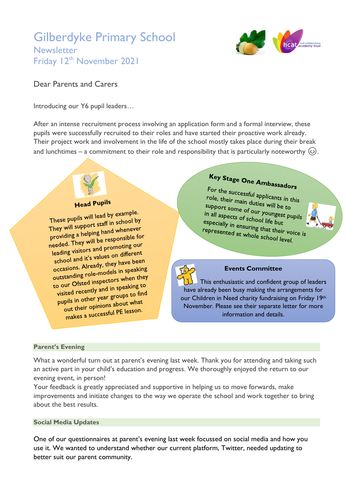## Gilberdyke Primary School **Newsletter** Friday 12<sup>th</sup> November 2021



### Dear Parents and Carers

Introducing our Y6 pupil leaders…

After an intense recruitment process involving an application form and a formal interview, these pupils were successfully recruited to their roles and have started their proactive work already. Their project work and involvement in the life of the school mostly takes place during their break and lunchtimes – a commitment to their role and responsibility that is particularly noteworthy  $\circled$ .

## **Head Pupils**

These pupils will lead by example. These pupils will lead by Source<br>They will support staff in school by<br>beloing hand whenever They will support stam in screen of<br>providing a helping hand whenever providing a helping hand where<br>needed. They will be responsible for<br>itions and promoting our eeded. They will be responsive<br>leading visitors and promoting our eading visitors and promoting<br>school and it's values on different school and it's values on the been<br>occasions. Already, they have been occasions. Already, they have been<br>outstanding role-models in speaking outstanding role-models in Space<br>to our Ofsted inspectors when they o our Ofsted inspectors with<br>visited recently and in speaking to<br>visited recently and in speaking to find visited recently and in speaking<br>pupils in other year groups to find<br>in the spinions about what pils in other year groups.<br>out their opinions about what out their opinions about their opinions about.

# Key Stage One Ambassadors

For the successful applicants in this<br>role, their main duties will be successful applicants in this role, their main duties will be to<br>support some of our will be to support some of our youngest pupils<br>in all aspects of school life by in all aspects of our youngest<br>in all aspects of school life but especially in ensuring that their voice is<br>represented at whole school life with the set of the set of the set of the set of the set of the set of the set of the set of the set of the set of the set of the set of the set o represented at whole school level.



 This enthusiastic and confident group of leaders have already been busy making the arrangements for our Children in Need charity fundraising on Friday 19th November. Please see their separate letter for more information and details.

### **Parent's Evening**

What a wonderful turn out at parent's evening last week. Thank you for attending and taking such an active part in your child's education and progress. We thoroughly enjoyed the return to our evening event, in person!

Your feedback is greatly appreciated and supportive in helping us to move forwards, make improvements and initiate changes to the way we operate the school and work together to bring about the best results.

### **Social Media Updates**

One of our questionnaires at parent's evening last week focussed on social media and how you use it. We wanted to understand whether our current platform, Twitter, needed updating to better suit our parent community.